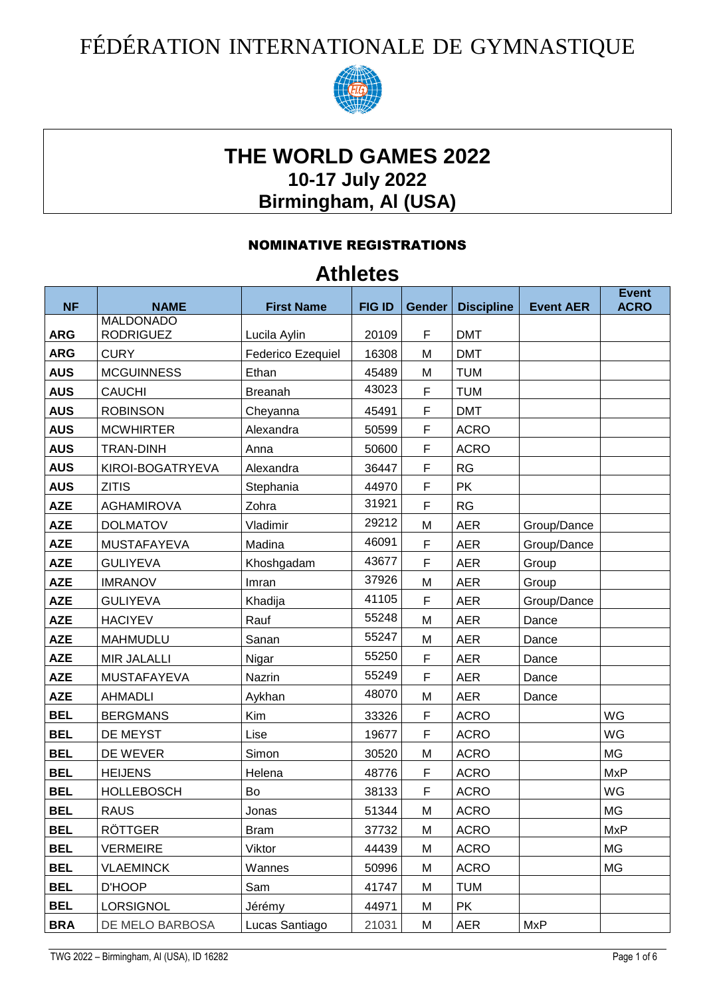## FÉDÉRATION INTERNATIONALE DE GYMNASTIQUE



## **THE WORLD GAMES 2022 10-17 July 2022 Birmingham, Al (USA)**

## NOMINATIVE REGISTRATIONS

## **Athletes**

| <b>NF</b>  | <b>NAME</b>        | <b>First Name</b>        | <b>FIG ID</b> | Gender | <b>Discipline</b> | <b>Event AER</b> | <b>Event</b><br><b>ACRO</b> |
|------------|--------------------|--------------------------|---------------|--------|-------------------|------------------|-----------------------------|
|            | <b>MALDONADO</b>   |                          |               |        |                   |                  |                             |
| <b>ARG</b> | <b>RODRIGUEZ</b>   | Lucila Aylin             | 20109         | F      | <b>DMT</b>        |                  |                             |
| <b>ARG</b> | <b>CURY</b>        | <b>Federico Ezequiel</b> | 16308         | M      | <b>DMT</b>        |                  |                             |
| <b>AUS</b> | <b>MCGUINNESS</b>  | Ethan                    | 45489         | M      | <b>TUM</b>        |                  |                             |
| <b>AUS</b> | <b>CAUCHI</b>      | <b>Breanah</b>           | 43023         | F      | <b>TUM</b>        |                  |                             |
| <b>AUS</b> | <b>ROBINSON</b>    | Cheyanna                 | 45491         | F      | <b>DMT</b>        |                  |                             |
| <b>AUS</b> | <b>MCWHIRTER</b>   | Alexandra                | 50599         | F      | <b>ACRO</b>       |                  |                             |
| <b>AUS</b> | <b>TRAN-DINH</b>   | Anna                     | 50600         | F      | <b>ACRO</b>       |                  |                             |
| <b>AUS</b> | KIROI-BOGATRYEVA   | Alexandra                | 36447         | F      | RG                |                  |                             |
| <b>AUS</b> | <b>ZITIS</b>       | Stephania                | 44970         | F      | <b>PK</b>         |                  |                             |
| <b>AZE</b> | <b>AGHAMIROVA</b>  | Zohra                    | 31921         | F      | RG                |                  |                             |
| <b>AZE</b> | <b>DOLMATOV</b>    | Vladimir                 | 29212         | M      | <b>AER</b>        | Group/Dance      |                             |
| <b>AZE</b> | <b>MUSTAFAYEVA</b> | Madina                   | 46091         | F      | <b>AER</b>        | Group/Dance      |                             |
| <b>AZE</b> | <b>GULIYEVA</b>    | Khoshgadam               | 43677         | F      | <b>AER</b>        | Group            |                             |
| <b>AZE</b> | <b>IMRANOV</b>     | Imran                    | 37926         | M      | <b>AER</b>        | Group            |                             |
| <b>AZE</b> | <b>GULIYEVA</b>    | Khadija                  | 41105         | F      | <b>AER</b>        | Group/Dance      |                             |
| <b>AZE</b> | <b>HACIYEV</b>     | Rauf                     | 55248         | M      | <b>AER</b>        | Dance            |                             |
| <b>AZE</b> | <b>MAHMUDLU</b>    | Sanan                    | 55247         | M      | <b>AER</b>        | Dance            |                             |
| <b>AZE</b> | <b>MIR JALALLI</b> | Nigar                    | 55250         | F      | <b>AER</b>        | Dance            |                             |
| <b>AZE</b> | <b>MUSTAFAYEVA</b> | Nazrin                   | 55249         | F      | <b>AER</b>        | Dance            |                             |
| <b>AZE</b> | <b>AHMADLI</b>     | Aykhan                   | 48070         | M      | <b>AER</b>        | Dance            |                             |
| <b>BEL</b> | <b>BERGMANS</b>    | Kim                      | 33326         | F      | <b>ACRO</b>       |                  | WG                          |
| <b>BEL</b> | DE MEYST           | Lise                     | 19677         | F      | <b>ACRO</b>       |                  | WG                          |
| <b>BEL</b> | DE WEVER           | Simon                    | 30520         | M      | <b>ACRO</b>       |                  | <b>MG</b>                   |
| <b>BEL</b> | <b>HEIJENS</b>     | Helena                   | 48776         | F      | <b>ACRO</b>       |                  | <b>MxP</b>                  |
| <b>BEL</b> | <b>HOLLEBOSCH</b>  | Bo                       | 38133         | F      | <b>ACRO</b>       |                  | WG                          |
| <b>BEL</b> | <b>RAUS</b>        | Jonas                    | 51344         | M      | <b>ACRO</b>       |                  | MG                          |
| <b>BEL</b> | RÖTTGER            | <b>Bram</b>              | 37732         | M      | <b>ACRO</b>       |                  | <b>MxP</b>                  |
| <b>BEL</b> | <b>VERMEIRE</b>    | Viktor                   | 44439         | M      | <b>ACRO</b>       |                  | MG                          |
| <b>BEL</b> | <b>VLAEMINCK</b>   | Wannes                   | 50996         | M      | <b>ACRO</b>       |                  | МG                          |
| <b>BEL</b> | D'HOOP             | Sam                      | 41747         | M      | <b>TUM</b>        |                  |                             |
| <b>BEL</b> | <b>LORSIGNOL</b>   | Jérémy                   | 44971         | M      | <b>PK</b>         |                  |                             |
| <b>BRA</b> | DE MELO BARBOSA    | Lucas Santiago           | 21031         | M      | AER               | <b>MxP</b>       |                             |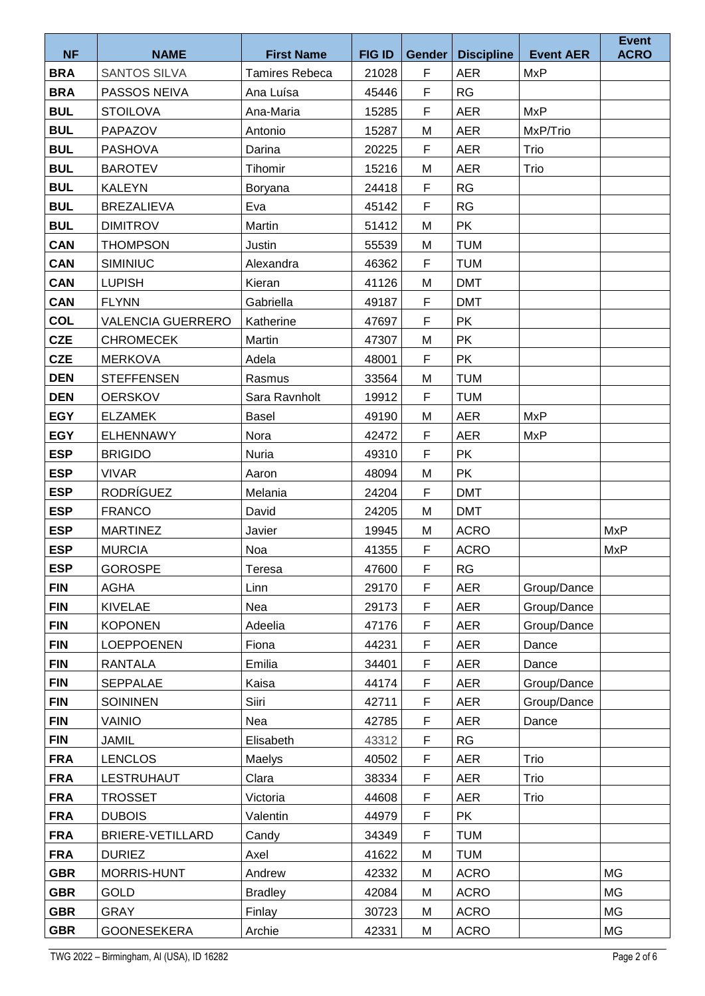| <b>NF</b>  | <b>NAME</b>              | <b>First Name</b>     | <b>FIG ID</b> | <b>Gender</b> | <b>Discipline</b> | <b>Event AER</b> | <b>Event</b><br><b>ACRO</b> |
|------------|--------------------------|-----------------------|---------------|---------------|-------------------|------------------|-----------------------------|
| <b>BRA</b> | <b>SANTOS SILVA</b>      | <b>Tamires Rebeca</b> | 21028         | F             | <b>AER</b>        | <b>MxP</b>       |                             |
| <b>BRA</b> | PASSOS NEIVA             | Ana Luísa             | 45446         | F             | <b>RG</b>         |                  |                             |
| <b>BUL</b> | <b>STOILOVA</b>          | Ana-Maria             | 15285         | F             | <b>AER</b>        | <b>MxP</b>       |                             |
| <b>BUL</b> | PAPAZOV                  | Antonio               | 15287         | M             | <b>AER</b>        | MxP/Trio         |                             |
| <b>BUL</b> | <b>PASHOVA</b>           | Darina                | 20225         | F             | <b>AER</b>        | Trio             |                             |
| <b>BUL</b> | <b>BAROTEV</b>           | Tihomir               | 15216         | M             | <b>AER</b>        | Trio             |                             |
| <b>BUL</b> | <b>KALEYN</b>            | Boryana               | 24418         | F             | RG                |                  |                             |
| <b>BUL</b> | <b>BREZALIEVA</b>        | Eva                   | 45142         | F             | RG                |                  |                             |
| <b>BUL</b> | <b>DIMITROV</b>          | Martin                | 51412         | M             | <b>PK</b>         |                  |                             |
| <b>CAN</b> | <b>THOMPSON</b>          | Justin                | 55539         | M             | <b>TUM</b>        |                  |                             |
| <b>CAN</b> | <b>SIMINIUC</b>          | Alexandra             | 46362         | $\mathsf F$   | <b>TUM</b>        |                  |                             |
| <b>CAN</b> | <b>LUPISH</b>            | Kieran                | 41126         | M             | <b>DMT</b>        |                  |                             |
| <b>CAN</b> | <b>FLYNN</b>             | Gabriella             | 49187         | F             | <b>DMT</b>        |                  |                             |
| <b>COL</b> | <b>VALENCIA GUERRERO</b> | Katherine             | 47697         | F             | <b>PK</b>         |                  |                             |
| <b>CZE</b> | <b>CHROMECEK</b>         | Martin                | 47307         | M             | <b>PK</b>         |                  |                             |
| <b>CZE</b> | <b>MERKOVA</b>           | Adela                 | 48001         | F             | <b>PK</b>         |                  |                             |
| <b>DEN</b> | <b>STEFFENSEN</b>        | Rasmus                | 33564         | M             | <b>TUM</b>        |                  |                             |
| <b>DEN</b> | <b>OERSKOV</b>           | Sara Ravnholt         | 19912         | F             | <b>TUM</b>        |                  |                             |
| <b>EGY</b> | <b>ELZAMEK</b>           | <b>Basel</b>          | 49190         | M             | <b>AER</b>        | <b>MxP</b>       |                             |
| <b>EGY</b> | <b>ELHENNAWY</b>         | Nora                  | 42472         | F             | <b>AER</b>        | <b>MxP</b>       |                             |
| <b>ESP</b> | <b>BRIGIDO</b>           | Nuria                 | 49310         | F             | <b>PK</b>         |                  |                             |
| <b>ESP</b> | <b>VIVAR</b>             | Aaron                 | 48094         | M             | <b>PK</b>         |                  |                             |
| <b>ESP</b> | <b>RODRÍGUEZ</b>         | Melania               | 24204         | F             | <b>DMT</b>        |                  |                             |
| <b>ESP</b> | <b>FRANCO</b>            | David                 | 24205         | M             | <b>DMT</b>        |                  |                             |
| <b>ESP</b> | <b>MARTINEZ</b>          | Javier                | 19945         | M             | <b>ACRO</b>       |                  | <b>MxP</b>                  |
| <b>ESP</b> | <b>MURCIA</b>            | Noa                   | 41355         | F             | <b>ACRO</b>       |                  | <b>MxP</b>                  |
| <b>ESP</b> | <b>GOROSPE</b>           | Teresa                | 47600         | $\mathsf F$   | RG                |                  |                             |
| <b>FIN</b> | <b>AGHA</b>              | Linn                  | 29170         | F             | <b>AER</b>        | Group/Dance      |                             |
| <b>FIN</b> | <b>KIVELAE</b>           | Nea                   | 29173         | $\mathsf F$   | <b>AER</b>        | Group/Dance      |                             |
| <b>FIN</b> | <b>KOPONEN</b>           | Adeelia               | 47176         | $\mathsf F$   | <b>AER</b>        | Group/Dance      |                             |
| <b>FIN</b> | <b>LOEPPOENEN</b>        | Fiona                 | 44231         | F             | <b>AER</b>        | Dance            |                             |
| <b>FIN</b> | <b>RANTALA</b>           | Emilia                | 34401         | F             | <b>AER</b>        | Dance            |                             |
| <b>FIN</b> | <b>SEPPALAE</b>          | Kaisa                 | 44174         | F             | <b>AER</b>        | Group/Dance      |                             |
| <b>FIN</b> | <b>SOININEN</b>          | Siiri                 | 42711         | F             | <b>AER</b>        | Group/Dance      |                             |
| <b>FIN</b> | <b>VAINIO</b>            | Nea                   | 42785         | F             | <b>AER</b>        | Dance            |                             |
| <b>FIN</b> | <b>JAMIL</b>             | Elisabeth             | 43312         | F             | RG                |                  |                             |
| <b>FRA</b> | <b>LENCLOS</b>           | Maelys                | 40502         | F             | <b>AER</b>        | Trio             |                             |
| <b>FRA</b> | <b>LESTRUHAUT</b>        | Clara                 | 38334         | F             | <b>AER</b>        | Trio             |                             |
| <b>FRA</b> | <b>TROSSET</b>           | Victoria              | 44608         | F             | <b>AER</b>        | Trio             |                             |
| <b>FRA</b> | <b>DUBOIS</b>            | Valentin              | 44979         | F             | <b>PK</b>         |                  |                             |
| <b>FRA</b> | <b>BRIERE-VETILLARD</b>  | Candy                 | 34349         | F             | <b>TUM</b>        |                  |                             |
| <b>FRA</b> | <b>DURIEZ</b>            | Axel                  | 41622         | M             | <b>TUM</b>        |                  |                             |
| <b>GBR</b> | MORRIS-HUNT              | Andrew                | 42332         | M             | <b>ACRO</b>       |                  | <b>MG</b>                   |
| <b>GBR</b> | GOLD                     | <b>Bradley</b>        | 42084         | M             | <b>ACRO</b>       |                  | MG                          |
| <b>GBR</b> | <b>GRAY</b>              | Finlay                | 30723         | M             | <b>ACRO</b>       |                  | MG                          |
| <b>GBR</b> | <b>GOONESEKERA</b>       | Archie                | 42331         | M             | <b>ACRO</b>       |                  | MG                          |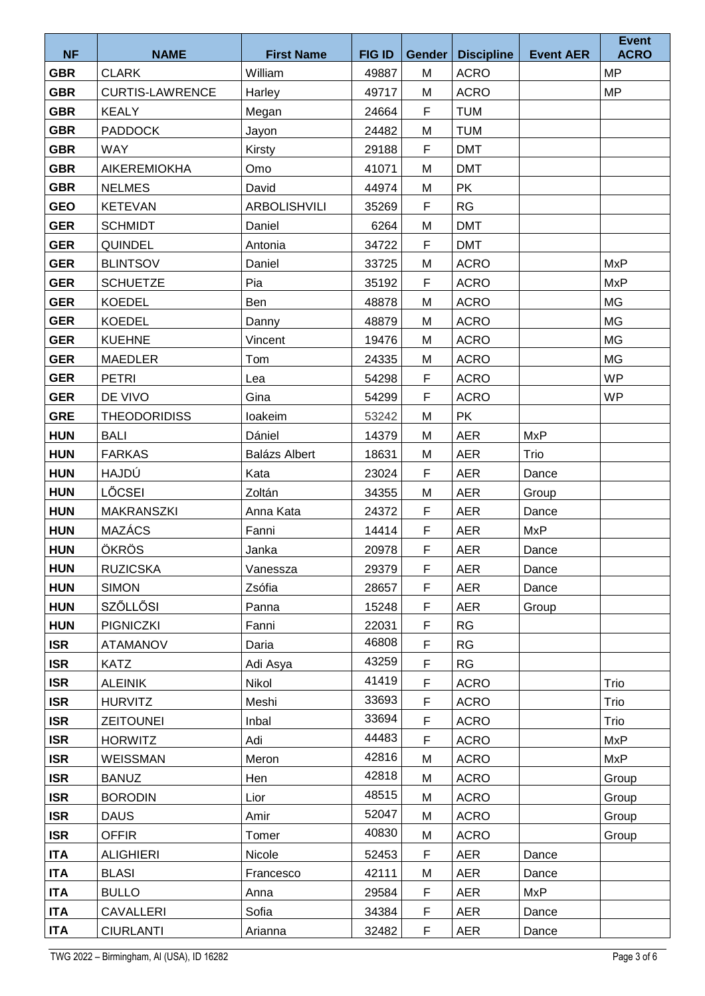|                          |                                      |                              |                        |                    |                                  |                  | <b>Event</b><br><b>ACRO</b> |
|--------------------------|--------------------------------------|------------------------------|------------------------|--------------------|----------------------------------|------------------|-----------------------------|
| <b>NF</b><br><b>GBR</b>  | <b>NAME</b><br><b>CLARK</b>          | <b>First Name</b><br>William | <b>FIG ID</b><br>49887 | <b>Gender</b><br>M | <b>Discipline</b><br><b>ACRO</b> | <b>Event AER</b> | <b>MP</b>                   |
| <b>GBR</b>               | <b>CURTIS-LAWRENCE</b>               |                              | 49717                  | M                  | <b>ACRO</b>                      |                  | <b>MP</b>                   |
| <b>GBR</b>               | <b>KEALY</b>                         | Harley                       | 24664                  | F                  | <b>TUM</b>                       |                  |                             |
| <b>GBR</b>               | <b>PADDOCK</b>                       | Megan                        | 24482                  | M                  | <b>TUM</b>                       |                  |                             |
|                          |                                      | Jayon                        |                        | F                  | <b>DMT</b>                       |                  |                             |
| <b>GBR</b>               | <b>WAY</b>                           | Kirsty<br>Omo                | 29188                  |                    | <b>DMT</b>                       |                  |                             |
| <b>GBR</b><br><b>GBR</b> | <b>AIKEREMIOKHA</b><br><b>NELMES</b> | David                        | 41071<br>44974         | M<br>M             | <b>PK</b>                        |                  |                             |
| <b>GEO</b>               | <b>KETEVAN</b>                       | <b>ARBOLISHVILI</b>          |                        | F                  | RG                               |                  |                             |
| <b>GER</b>               | <b>SCHMIDT</b>                       | Daniel                       | 35269<br>6264          | M                  | <b>DMT</b>                       |                  |                             |
| <b>GER</b>               | <b>QUINDEL</b>                       | Antonia                      | 34722                  | F                  | <b>DMT</b>                       |                  |                             |
| <b>GER</b>               | <b>BLINTSOV</b>                      | Daniel                       | 33725                  | M                  | <b>ACRO</b>                      |                  | <b>MxP</b>                  |
| <b>GER</b>               | <b>SCHUETZE</b>                      | Pia                          | 35192                  | F                  | <b>ACRO</b>                      |                  | <b>MxP</b>                  |
| <b>GER</b>               | <b>KOEDEL</b>                        | Ben                          | 48878                  | M                  | <b>ACRO</b>                      |                  | <b>MG</b>                   |
| <b>GER</b>               | <b>KOEDEL</b>                        |                              | 48879                  | M                  | <b>ACRO</b>                      |                  | <b>MG</b>                   |
| <b>GER</b>               | <b>KUEHNE</b>                        | Danny<br>Vincent             | 19476                  | M                  | <b>ACRO</b>                      |                  | <b>MG</b>                   |
| <b>GER</b>               | <b>MAEDLER</b>                       | Tom                          | 24335                  | M                  | <b>ACRO</b>                      |                  | <b>MG</b>                   |
| <b>GER</b>               | <b>PETRI</b>                         | Lea                          | 54298                  | F                  | <b>ACRO</b>                      |                  | <b>WP</b>                   |
| <b>GER</b>               | DE VIVO                              | Gina                         | 54299                  | F                  | <b>ACRO</b>                      |                  | <b>WP</b>                   |
| <b>GRE</b>               | <b>THEODORIDISS</b>                  | loakeim                      | 53242                  | M                  | <b>PK</b>                        |                  |                             |
| <b>HUN</b>               | <b>BALI</b>                          | Dániel                       | 14379                  | M                  | <b>AER</b>                       | <b>MxP</b>       |                             |
| <b>HUN</b>               | <b>FARKAS</b>                        | <b>Balázs Albert</b>         | 18631                  | M                  | <b>AER</b>                       | Trio             |                             |
| <b>HUN</b>               | HAJDÚ                                | Kata                         | 23024                  | F                  | <b>AER</b>                       | Dance            |                             |
| <b>HUN</b>               | LŐCSEI                               | Zoltán                       | 34355                  | M                  | <b>AER</b>                       | Group            |                             |
| <b>HUN</b>               | <b>MAKRANSZKI</b>                    | Anna Kata                    | 24372                  | F                  | <b>AER</b>                       | Dance            |                             |
| <b>HUN</b>               | <b>MAZÁCS</b>                        | Fanni                        | 14414                  | F                  | <b>AER</b>                       | <b>MxP</b>       |                             |
| <b>HUN</b>               | ÖKRÖS                                | Janka                        | 20978                  | F                  | <b>AER</b>                       | Dance            |                             |
| <b>HUN</b>               | <b>RUZICSKA</b>                      | Vanessza                     | 29379                  | F                  | <b>AER</b>                       | Dance            |                             |
| <b>HUN</b>               | <b>SIMON</b>                         | Zsófia                       | 28657                  | F.                 | <b>AER</b>                       | Dance            |                             |
| <b>HUN</b>               | <b>SZŐLLŐSI</b>                      | Panna                        | 15248                  | F                  | <b>AER</b>                       | Group            |                             |
| <b>HUN</b>               | <b>PIGNICZKI</b>                     | Fanni                        | 22031                  | F                  | RG                               |                  |                             |
| <b>ISR</b>               | <b>ATAMANOV</b>                      | Daria                        | 46808                  | F                  | <b>RG</b>                        |                  |                             |
| <b>ISR</b>               | <b>KATZ</b>                          | Adi Asya                     | 43259                  | F                  | <b>RG</b>                        |                  |                             |
| <b>ISR</b>               | <b>ALEINIK</b>                       | Nikol                        | 41419                  | F                  | <b>ACRO</b>                      |                  | Trio                        |
| <b>ISR</b>               | <b>HURVITZ</b>                       | Meshi                        | 33693                  | F                  | <b>ACRO</b>                      |                  | Trio                        |
| <b>ISR</b>               | <b>ZEITOUNEI</b>                     | Inbal                        | 33694                  | F                  | <b>ACRO</b>                      |                  | Trio                        |
| <b>ISR</b>               | <b>HORWITZ</b>                       | Adi                          | 44483                  | F                  | <b>ACRO</b>                      |                  | <b>MxP</b>                  |
| <b>ISR</b>               | WEISSMAN                             | Meron                        | 42816                  | M                  | <b>ACRO</b>                      |                  | MxP                         |
| <b>ISR</b>               | <b>BANUZ</b>                         | Hen                          | 42818                  | M                  | <b>ACRO</b>                      |                  | Group                       |
| <b>ISR</b>               | <b>BORODIN</b>                       | Lior                         | 48515                  | M                  | <b>ACRO</b>                      |                  | Group                       |
| <b>ISR</b>               | <b>DAUS</b>                          | Amir                         | 52047                  | M                  | <b>ACRO</b>                      |                  | Group                       |
| <b>ISR</b>               | <b>OFFIR</b>                         | Tomer                        | 40830                  | M                  | <b>ACRO</b>                      |                  | Group                       |
| <b>ITA</b>               | <b>ALIGHIERI</b>                     | Nicole                       | 52453                  | F                  | <b>AER</b>                       | Dance            |                             |
| <b>ITA</b>               | <b>BLASI</b>                         | Francesco                    | 42111                  | M                  | AER                              | Dance            |                             |
| <b>ITA</b>               | <b>BULLO</b>                         | Anna                         | 29584                  | F                  | <b>AER</b>                       | <b>MxP</b>       |                             |
| <b>ITA</b>               | CAVALLERI                            | Sofia                        | 34384                  | F                  | <b>AER</b>                       | Dance            |                             |
| <b>ITA</b>               | <b>CIURLANTI</b>                     | Arianna                      | 32482                  | F                  | <b>AER</b>                       | Dance            |                             |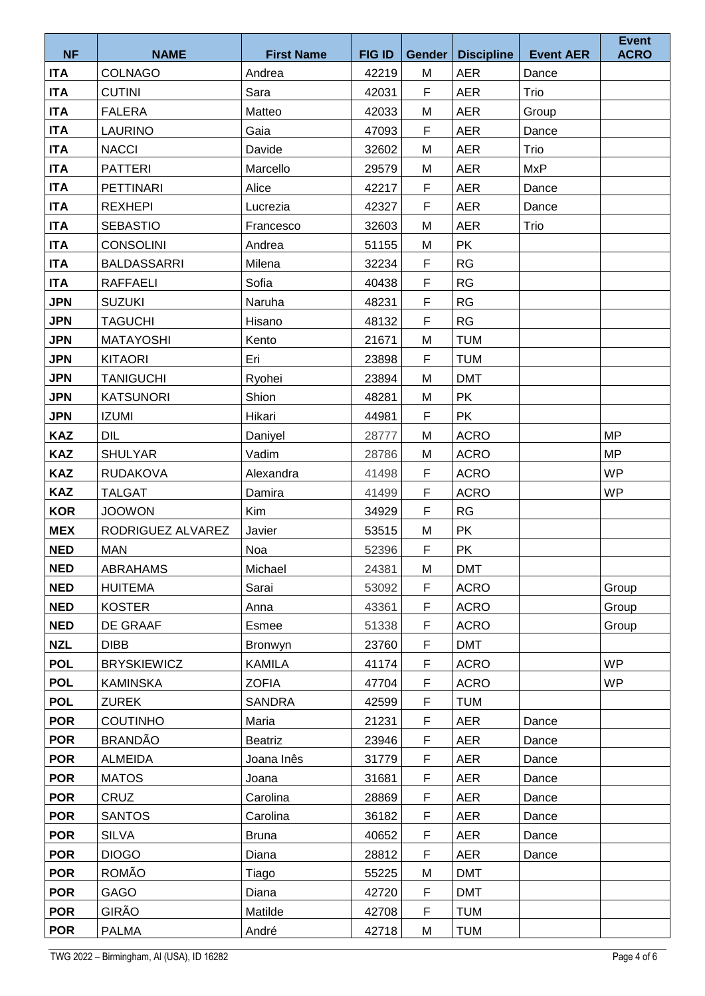|                          |                                   |                     |                |               |                          |                  | <b>Event</b> |
|--------------------------|-----------------------------------|---------------------|----------------|---------------|--------------------------|------------------|--------------|
| <b>NF</b>                | <b>NAME</b>                       | <b>First Name</b>   | <b>FIG ID</b>  | <b>Gender</b> | <b>Discipline</b>        | <b>Event AER</b> | <b>ACRO</b>  |
| <b>ITA</b>               | <b>COLNAGO</b>                    | Andrea              | 42219          | M             | <b>AER</b>               | Dance            |              |
| <b>ITA</b>               | <b>CUTINI</b>                     | Sara<br>Matteo      | 42031<br>42033 | F             | <b>AER</b>               | Trio             |              |
| <b>ITA</b>               | <b>FALERA</b>                     |                     |                | M<br>F        | <b>AER</b>               | Group            |              |
| <b>ITA</b>               | <b>LAURINO</b>                    | Gaia                | 47093          |               | <b>AER</b>               | Dance            |              |
| <b>ITA</b>               | <b>NACCI</b><br><b>PATTERI</b>    | Davide              | 32602          | M             | <b>AER</b>               | Trio             |              |
| <b>ITA</b>               | <b>PETTINARI</b>                  | Marcello<br>Alice   | 29579<br>42217 | M<br>F        | <b>AER</b><br><b>AER</b> | <b>MxP</b>       |              |
| <b>ITA</b>               |                                   |                     | 42327          | F             | <b>AER</b>               | Dance            |              |
| <b>ITA</b><br><b>ITA</b> | <b>REXHEPI</b><br><b>SEBASTIO</b> | Lucrezia            |                | M             | <b>AER</b>               | Dance<br>Trio    |              |
| <b>ITA</b>               | <b>CONSOLINI</b>                  | Francesco<br>Andrea | 32603<br>51155 | M             | <b>PK</b>                |                  |              |
| <b>ITA</b>               | <b>BALDASSARRI</b>                | Milena              | 32234          | $\mathsf F$   | RG                       |                  |              |
| <b>ITA</b>               | <b>RAFFAELI</b>                   | Sofia               | 40438          | F             | <b>RG</b>                |                  |              |
| <b>JPN</b>               | <b>SUZUKI</b>                     | Naruha              | 48231          | F             | <b>RG</b>                |                  |              |
| <b>JPN</b>               | <b>TAGUCHI</b>                    | Hisano              | 48132          | F             | RG                       |                  |              |
| <b>JPN</b>               | <b>MATAYOSHI</b>                  | Kento               | 21671          | M             | <b>TUM</b>               |                  |              |
| <b>JPN</b>               | <b>KITAORI</b>                    | Eri                 | 23898          | F             | <b>TUM</b>               |                  |              |
| <b>JPN</b>               | <b>TANIGUCHI</b>                  | Ryohei              | 23894          | M             | <b>DMT</b>               |                  |              |
| <b>JPN</b>               | <b>KATSUNORI</b>                  | Shion               | 48281          | M             | <b>PK</b>                |                  |              |
| <b>JPN</b>               | <b>IZUMI</b>                      | Hikari              | 44981          | F             | <b>PK</b>                |                  |              |
| <b>KAZ</b>               | DIL                               | Daniyel             | 28777          | M             | <b>ACRO</b>              |                  | <b>MP</b>    |
| <b>KAZ</b>               | <b>SHULYAR</b>                    | Vadim               | 28786          | M             | <b>ACRO</b>              |                  | <b>MP</b>    |
| <b>KAZ</b>               | <b>RUDAKOVA</b>                   | Alexandra           | 41498          | F             | <b>ACRO</b>              |                  | <b>WP</b>    |
| <b>KAZ</b>               | <b>TALGAT</b>                     | Damira              | 41499          | F             | <b>ACRO</b>              |                  | <b>WP</b>    |
| <b>KOR</b>               | <b>JOOWON</b>                     | Kim                 | 34929          | F             | <b>RG</b>                |                  |              |
| <b>MEX</b>               | RODRIGUEZ ALVAREZ                 | Javier              | 53515          | M             | <b>PK</b>                |                  |              |
| <b>NED</b>               | <b>MAN</b>                        | Noa                 | 52396          | F             | <b>PK</b>                |                  |              |
| <b>NED</b>               | <b>ABRAHAMS</b>                   | Michael             | 24381          | M             | <b>DMT</b>               |                  |              |
| <b>NED</b>               | <b>HUITEMA</b>                    | Sarai               | 53092          | F.            | <b>ACRO</b>              |                  | Group        |
| <b>NED</b>               | <b>KOSTER</b>                     | Anna                | 43361          | F             | <b>ACRO</b>              |                  | Group        |
| <b>NED</b>               | DE GRAAF                          | Esmee               | 51338          | F             | <b>ACRO</b>              |                  | Group        |
| <b>NZL</b>               | <b>DIBB</b>                       | Bronwyn             | 23760          | F             | <b>DMT</b>               |                  |              |
| <b>POL</b>               | <b>BRYSKIEWICZ</b>                | <b>KAMILA</b>       | 41174          | F             | <b>ACRO</b>              |                  | <b>WP</b>    |
| <b>POL</b>               | <b>KAMINSKA</b>                   | <b>ZOFIA</b>        | 47704          | F             | <b>ACRO</b>              |                  | <b>WP</b>    |
| <b>POL</b>               | <b>ZUREK</b>                      | <b>SANDRA</b>       | 42599          | F             | <b>TUM</b>               |                  |              |
| <b>POR</b>               | <b>COUTINHO</b>                   | Maria               | 21231          | F             | <b>AER</b>               | Dance            |              |
| <b>POR</b>               | <b>BRANDÃO</b>                    | Beatriz             | 23946          | F             | <b>AER</b>               | Dance            |              |
| <b>POR</b>               | <b>ALMEIDA</b>                    | Joana Inês          | 31779          | F             | AER                      | Dance            |              |
| <b>POR</b>               | <b>MATOS</b>                      | Joana               | 31681          | F             | <b>AER</b>               | Dance            |              |
| <b>POR</b>               | CRUZ                              | Carolina            | 28869          | F             | <b>AER</b>               | Dance            |              |
| <b>POR</b>               | <b>SANTOS</b>                     | Carolina            | 36182          | F             | AER                      | Dance            |              |
| <b>POR</b>               | <b>SILVA</b>                      | <b>Bruna</b>        | 40652          | F             | <b>AER</b>               | Dance            |              |
| <b>POR</b>               | <b>DIOGO</b>                      | Diana               | 28812          | F             | <b>AER</b>               | Dance            |              |
| <b>POR</b>               | ROMÃO                             | Tiago               | 55225          | M             | <b>DMT</b>               |                  |              |
| <b>POR</b>               | GAGO                              | Diana               | 42720          | F             | <b>DMT</b>               |                  |              |
| <b>POR</b>               | GIRÃO                             | Matilde             | 42708          | F             | <b>TUM</b>               |                  |              |
| <b>POR</b>               | <b>PALMA</b>                      | André               | 42718          | M             | <b>TUM</b>               |                  |              |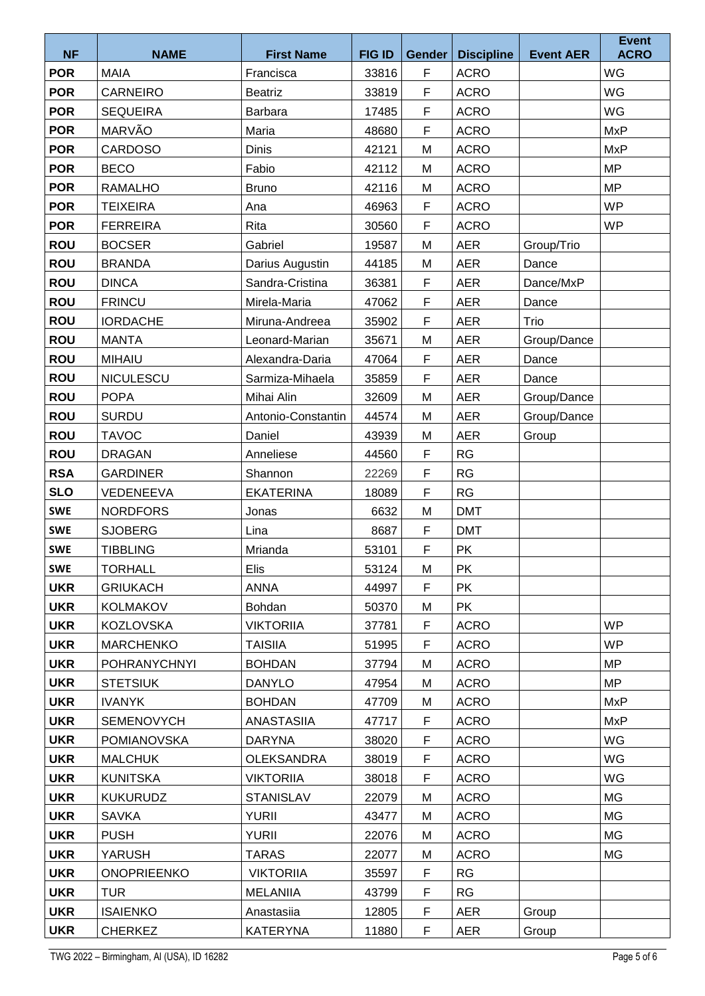|            |                     |                    |               |                     |                   |                  | <b>Event</b> |
|------------|---------------------|--------------------|---------------|---------------------|-------------------|------------------|--------------|
| <b>NF</b>  | <b>NAME</b>         | <b>First Name</b>  | <b>FIG ID</b> | Gender              | <b>Discipline</b> | <b>Event AER</b> | <b>ACRO</b>  |
| <b>POR</b> | <b>MAIA</b>         | Francisca          | 33816         | $\mathsf F$         | <b>ACRO</b>       |                  | WG           |
| <b>POR</b> | <b>CARNEIRO</b>     | <b>Beatriz</b>     | 33819         | $\mathsf F$         | <b>ACRO</b>       |                  | WG           |
| <b>POR</b> | <b>SEQUEIRA</b>     | Barbara            | 17485         | F<br>$\overline{F}$ | <b>ACRO</b>       |                  | WG           |
| <b>POR</b> | MARVÃO              | Maria              | 48680         |                     | <b>ACRO</b>       |                  | <b>MxP</b>   |
| <b>POR</b> | <b>CARDOSO</b>      | <b>Dinis</b>       | 42121         | M                   | <b>ACRO</b>       |                  | <b>MxP</b>   |
| <b>POR</b> | <b>BECO</b>         | Fabio              | 42112         | M                   | <b>ACRO</b>       |                  | <b>MP</b>    |
| <b>POR</b> | <b>RAMALHO</b>      | <b>Bruno</b>       | 42116         | M                   | <b>ACRO</b>       |                  | <b>MP</b>    |
| <b>POR</b> | <b>TEIXEIRA</b>     | Ana                | 46963         | F                   | <b>ACRO</b>       |                  | <b>WP</b>    |
| <b>POR</b> | <b>FERREIRA</b>     | Rita               | 30560         | F                   | <b>ACRO</b>       |                  | <b>WP</b>    |
| <b>ROU</b> | <b>BOCSER</b>       | Gabriel            | 19587         | M                   | <b>AER</b>        | Group/Trio       |              |
| <b>ROU</b> | <b>BRANDA</b>       | Darius Augustin    | 44185         | M                   | <b>AER</b>        | Dance            |              |
| <b>ROU</b> | <b>DINCA</b>        | Sandra-Cristina    | 36381         | $\mathsf F$         | <b>AER</b>        | Dance/MxP        |              |
| <b>ROU</b> | <b>FRINCU</b>       | Mirela-Maria       | 47062         | F                   | <b>AER</b>        | Dance            |              |
| <b>ROU</b> | <b>IORDACHE</b>     | Miruna-Andreea     | 35902         | $\mathsf F$         | <b>AER</b>        | Trio             |              |
| <b>ROU</b> | <b>MANTA</b>        | Leonard-Marian     | 35671         | M                   | <b>AER</b>        | Group/Dance      |              |
| <b>ROU</b> | <b>MIHAIU</b>       | Alexandra-Daria    | 47064         | $\mathsf F$         | <b>AER</b>        | Dance            |              |
| <b>ROU</b> | <b>NICULESCU</b>    | Sarmiza-Mihaela    | 35859         | $\mathsf F$         | <b>AER</b>        | Dance            |              |
| <b>ROU</b> | <b>POPA</b>         | Mihai Alin         | 32609         | M                   | <b>AER</b>        | Group/Dance      |              |
| <b>ROU</b> | <b>SURDU</b>        | Antonio-Constantin | 44574         | M                   | <b>AER</b>        | Group/Dance      |              |
| <b>ROU</b> | <b>TAVOC</b>        | Daniel             | 43939         | M                   | <b>AER</b>        | Group            |              |
| <b>ROU</b> | <b>DRAGAN</b>       | Anneliese          | 44560         | $\mathsf F$         | RG                |                  |              |
| <b>RSA</b> | <b>GARDINER</b>     | Shannon            | 22269         | F                   | <b>RG</b>         |                  |              |
| <b>SLO</b> | <b>VEDENEEVA</b>    | <b>EKATERINA</b>   | 18089         | $\mathsf F$         | RG                |                  |              |
| <b>SWE</b> | <b>NORDFORS</b>     | Jonas              | 6632          | M                   | <b>DMT</b>        |                  |              |
| <b>SWE</b> | <b>SJOBERG</b>      | Lina               | 8687          | F                   | <b>DMT</b>        |                  |              |
| <b>SWE</b> | <b>TIBBLING</b>     | Mrianda            | 53101         | $\mathsf F$         | <b>PK</b>         |                  |              |
| <b>SWE</b> | <b>TORHALL</b>      | Elis               | 53124         | М                   | <b>PK</b>         |                  |              |
| <b>UKR</b> | <b>GRIUKACH</b>     | <b>ANNA</b>        | 44997         | F.                  | <b>PK</b>         |                  |              |
| <b>UKR</b> | KOLMAKOV            | Bohdan             | 50370         | M                   | <b>PK</b>         |                  |              |
| <b>UKR</b> | <b>KOZLOVSKA</b>    | <b>VIKTORIIA</b>   | 37781         | F                   | <b>ACRO</b>       |                  | <b>WP</b>    |
| <b>UKR</b> | <b>MARCHENKO</b>    | <b>TAISIIA</b>     | 51995         | F                   | <b>ACRO</b>       |                  | <b>WP</b>    |
| <b>UKR</b> | <b>POHRANYCHNYI</b> | <b>BOHDAN</b>      | 37794         | M                   | <b>ACRO</b>       |                  | <b>MP</b>    |
| <b>UKR</b> | <b>STETSIUK</b>     | <b>DANYLO</b>      | 47954         | M                   | <b>ACRO</b>       |                  | <b>MP</b>    |
| <b>UKR</b> | <b>IVANYK</b>       | <b>BOHDAN</b>      | 47709         | М                   | <b>ACRO</b>       |                  | MxP          |
| <b>UKR</b> | <b>SEMENOVYCH</b>   | <b>ANASTASIIA</b>  | 47717         | F                   | <b>ACRO</b>       |                  | <b>MxP</b>   |
| <b>UKR</b> | <b>POMIANOVSKA</b>  | <b>DARYNA</b>      | 38020         | F                   | <b>ACRO</b>       |                  | WG           |
| <b>UKR</b> | <b>MALCHUK</b>      | <b>OLEKSANDRA</b>  | 38019         | F                   | <b>ACRO</b>       |                  | <b>WG</b>    |
| <b>UKR</b> | <b>KUNITSKA</b>     | <b>VIKTORIIA</b>   | 38018         | F                   | <b>ACRO</b>       |                  | WG           |
| <b>UKR</b> | <b>KUKURUDZ</b>     | <b>STANISLAV</b>   | 22079         | M                   | <b>ACRO</b>       |                  | MG           |
| <b>UKR</b> | <b>SAVKA</b>        | <b>YURII</b>       | 43477         | M                   | <b>ACRO</b>       |                  | MG           |
| <b>UKR</b> | <b>PUSH</b>         | <b>YURII</b>       | 22076         | M                   | <b>ACRO</b>       |                  | МG           |
| <b>UKR</b> | <b>YARUSH</b>       | <b>TARAS</b>       | 22077         | M                   | <b>ACRO</b>       |                  | <b>MG</b>    |
| <b>UKR</b> | <b>ONOPRIEENKO</b>  | <b>VIKTORIIA</b>   | 35597         | F                   | <b>RG</b>         |                  |              |
| <b>UKR</b> | TUR                 | <b>MELANIIA</b>    | 43799         | F                   | <b>RG</b>         |                  |              |
| <b>UKR</b> | <b>ISAIENKO</b>     | Anastasiia         | 12805         | F                   | <b>AER</b>        | Group            |              |
| <b>UKR</b> | <b>CHERKEZ</b>      | <b>KATERYNA</b>    | 11880         | F.                  | AER               | Group            |              |